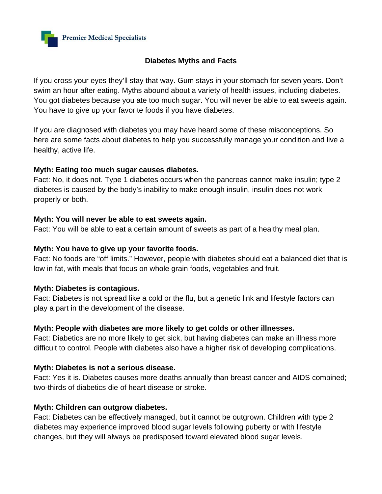

## **Diabetes Myths and Facts**

If you cross your eyes they'll stay that way. Gum stays in your stomach for seven years. Don't swim an hour after eating. Myths abound about a variety of health issues, including diabetes. You got diabetes because you ate too much sugar. You will never be able to eat sweets again. You have to give up your favorite foods if you have diabetes.

If you are diagnosed with diabetes you may have heard some of these misconceptions. So here are some facts about diabetes to help you successfully manage your condition and live a healthy, active life.

## **Myth: Eating too much sugar causes diabetes.**

Fact: No, it does not. Type 1 diabetes occurs when the pancreas cannot make insulin; type 2 diabetes is caused by the body's inability to make enough insulin, insulin does not work properly or both.

## **Myth: You will never be able to eat sweets again.**

Fact: You will be able to eat a certain amount of sweets as part of a healthy meal plan.

## **Myth: You have to give up your favorite foods.**

Fact: No foods are "off limits." However, people with diabetes should eat a balanced diet that is low in fat, with meals that focus on whole grain foods, vegetables and fruit.

### **Myth: Diabetes is contagious.**

Fact: Diabetes is not spread like a cold or the flu, but a genetic link and lifestyle factors can play a part in the development of the disease.

# **Myth: People with diabetes are more likely to get colds or other illnesses.**

Fact: Diabetics are no more likely to get sick, but having diabetes can make an illness more difficult to control. People with diabetes also have a higher risk of developing complications.

# **Myth: Diabetes is not a serious disease.**

Fact: Yes it is. Diabetes causes more deaths annually than breast cancer and AIDS combined; two-thirds of diabetics die of heart disease or stroke.

### **Myth: Children can outgrow diabetes.**

Fact: Diabetes can be effectively managed, but it cannot be outgrown. Children with type 2 diabetes may experience improved blood sugar levels following puberty or with lifestyle changes, but they will always be predisposed toward elevated blood sugar levels.